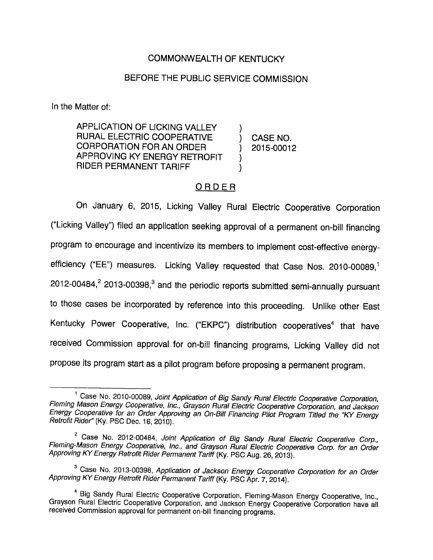# COMMONWEALTH OF KENTUCKY

# BEFORE THE PUBLIC SERVICE COMMISSION

In the Matter of:

APPLICATION OF LICKING VALLEY RURAL ELECTRIC COOPERATIVE ) CASE NO. CORPORATION FORAN ORDER ) 2015-00012 APPROVING KY ENERGY RETROFIT RIDER PERMANENT TARIFF

## ORDER

On January 6, 2015, Licking Valley Rural Electric Cooperative Corporation ( Licking Valley") filed an application seeking approval of a permanent on-bill financing program to encourage and incentivize its members to implement cost-effective energyefficiency ("EE") measures. Licking Valley requested that Case Nos.  $2010-00089$ ,<sup>1</sup>  $2012$ -00484, $^2$  2013-00398, $^3$  and the periodic reports submitted semi-annually pursuant to those cases be incorporated by reference into this proceeding. Unlike other East Kentucky Power Cooperative, Inc. ("EKPC") distribution cooperatives<sup>4</sup> that have received Commission approval for on-bill financing programs. Licking Valley did not propose its program start as a pilot program before proposing a permanent program.

<sup>&</sup>lt;sup>1</sup> Case No. 2010-00089, Joint Application of Big Sandy Rural Electric Cooperative Corporation,<br>Fleming Mason Energy Cooperative, Inc., Grayson Rural Electric Cooperative Corporation, and Jackson Energy Cooperative for an Order Approving an On-Biil Financing Pilot Program Titled the 'KY Energy Retrofit Rider" (Ky. PSC Dec. 16, 2010).

<sup>&</sup>lt;sup>2</sup> Case No. 2012-00484, Joint Application of Big Sandy Rural Electric Cooperative Corp.,<br>Fleming-Mason Energy Cooperative, Inc., and Grayson Rural Electric Cooperative Corp. for an Order Approving KY Energy Retrofit Rider Permanent Tariff (Ky. PSC Aug. 26, 2013).

<sup>&</sup>lt;sup>3</sup> Case No. 2013-00398, Application of Jackson Energy Cooperative Corporation for an Order Approving KY Energy Retrofit Rider Permanent Tariff (Ky. PSC Apr. 7, 2014).

Big Sandy Rural Electric Cooperative Corporation, Fleming-Mason Energy Cooperative, Inc., Grayson Rural Electric Cooperative Corporation, and Jackson Energy Cooperative Corporation have all received Commission approval for permanent on-bill financing programs.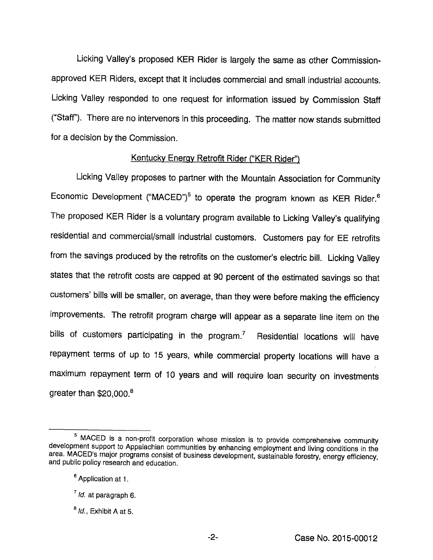Licking Valley's proposed KER Rider is largely the same as other Commissionapproved KER Riders, except that it includes commercial and small industrial accounts. Licking Valley responded to one request for information issued by Commission Staff ("Staff"). There are no intervenors in this proceeding. The matter now stands submitted for a decision by the Commission.

## Kentucky Energy Retrofit Rider ("KER Rider")

Licking Valley proposes to partner with the Mountain Association for Community Economic Development ("MACED")<sup>5</sup> to operate the program known as KER Rider.<sup>6</sup> The proposed KER Rider is a voluntary program available to Licking Valley's qualifying residential and commercial/small industrial customers. Customers pay for EE retrofits from the savings produced by the retrofits on the customer's electric bill. Licking Valley states that the retrofit costs are capped at 90 percent of the estimated savings so that customers' bills will be smaller, on average, than they were before making the efficiency improvements. The retrofit program charge will appear as a separate line item on the bills of customers participating in the program.<sup> $7$ </sup> Residential locations will have repayment terms of up to 15 years, while commercial property locations will have a maximum repayment term of 10 years and will require loan security on investments greater than \$20,000.®

<sup>&</sup>lt;sup>5</sup> MACED is a non-profit corporation whose mission is to provide comprehensive community development support to Appalachian communities by enhancing employment and living conditions in the area. MACED's major programs consist of business development, sustainable forestry, energy efficiency, and public policy research and education.

<sup>&</sup>lt;sup>6</sup> Application at 1.

 $^7$  Id. at paragraph 6.

 $<sup>8</sup>$  *ld.*, Exhibit A at 5.</sup>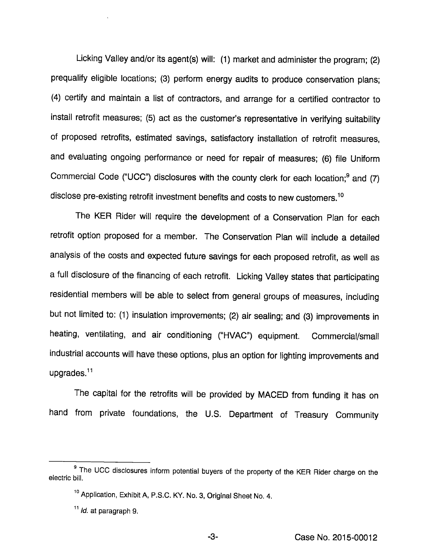Licking Valley and/or its agent(s) will: (1) market and administer the program; (2) prequalify eligible locations; (3) perform energy audits to produce conservation plans; (4) certify and maintain a list of contractors, and arrange for a certified contractor to install retrofit measures; (5) act as the customer's representative in verifying suitability of proposed retrofits, estimated savings, satisfactory installation of retrofit measures, and evaluating ongoing performance or need for repair of measures; (6) file Uniform Commercial Code ("UCC") disclosures with the county clerk for each location;® and (7) disclose pre-existing retrofit investment benefits and costs to new customers.<sup>10</sup>

The KER Rider will require the development of a Conservation Plan for each retrofit option proposed for a member. The Conservation Plan will include a detailed analysis of the costs and expected future savings for each proposed retrofit, as well as a full disclosure of the financing of each retrofit. Licking Valley states that participating residential members will be able to select from general groups of measures, including but not limited to: (1) insulation improvements; (2) air sealing; and (3) improvements in heating, ventilating, and air conditioning ("HVAC") equipment. Commercial/small industrial accounts will have these options, plus an option for lighting improvements and upgrades.<sup>11</sup>

The capital for the retrofits will be provided by MACED from funding it has on hand from private foundations, the U.S. Department of Treasury Community

-3-

<sup>&</sup>lt;sup>9</sup> The UCC disclosures inform potential buyers of the property of the KER Rider charge on the electric bill.

<sup>&</sup>lt;sup>10</sup> Application, Exhibit A, P.S.C. KY. No. 3, Original Sheet No. 4.

 $11$  *ld.* at paragraph 9.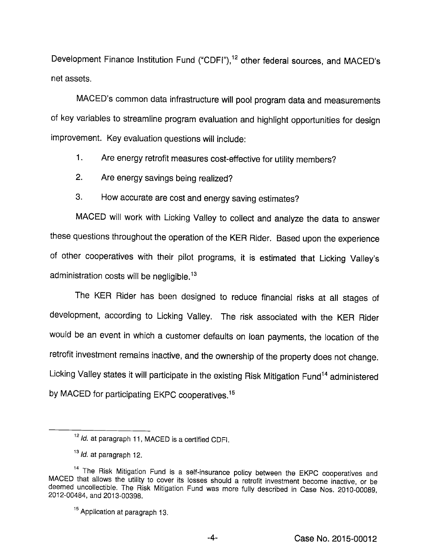Development Finance Institution Fund ("CDFI"),<sup>12</sup> other federal sources, and MACED's net assets.

MACED's common data infrastructure will pool program data and measurements of key variables to streamline program evaluation and highlight opportunities for design improvement. Key evaluation questions will include:

- 1. Are energy retrofit measures cost-effective for utility members?
- 2. Are energy savings being realized?
- 3. How accurate are cost and energy saving estimates?

MACED will work with Licking Valley to collect and analyze the data to answer these questions throughout the operation of the KER Rider. Based upon the experience of other cooperatives with their pilot programs, it is estimated that Licking Valley's administration costs will be negligible.<sup>13</sup>

The KER Rider has been designed to reduce financial risks at all stages of development, according to Licking Valley. The risk associated with the KER Rider would be an event in which a customer defaults on loan payments, the location of the retrofit investment remains inactive, and the ownership of the property does not change. Licking Valley states it will participate in the existing Risk Mitigation Fund<sup>14</sup> administered by MACED for participating EKPC cooperatives.<sup>15</sup>

 $12$  Id. at paragraph 11, MACED is a certified CDFI.

 $13$  *ld.* at paragraph 12.

<sup>&</sup>lt;sup>14</sup> The Risk Mitigation Fund is a self-insurance policy between the EKPC cooperatives and MACED that allows the utility to cover its losses should a retrofit investment become inactive, or be deemed uncollectible. The Risk Mitigation Fund was more fully described in Case Nos. 2010-00089, 2012-00484, and 2013-00398.

<sup>&</sup>lt;sup>15</sup> Application at paragraph 13.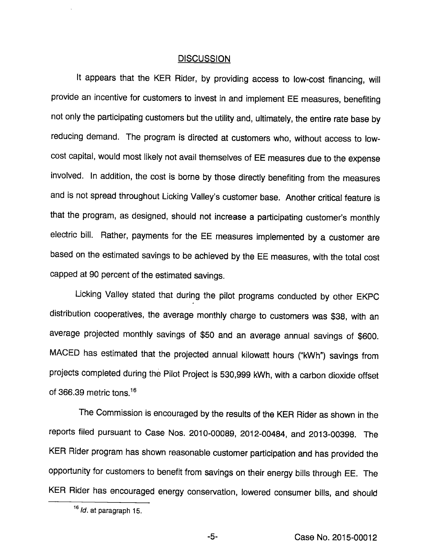#### **DISCUSSION**

It appears that the KER Rider, by providing access to low-cost financing, will provide an incentive for customers to invest in and implement EE measures, benefiting not only the participating customers but the utility and, ultimately, the entire rate base by reducing demand. The program is directed at customers who, without access to lowcost capital, would most likely not avail themselves of EE measures due to the expense involved. In addition, the cost is borne by those directly benefiting from the measures and is not spread throughout Licking Valley's customer base. Another critical feature is that the program, as designed, should not increase a participating customer's monthly electric bill. Rather, payments for the EE measures implemented by a customer are based on the estimated savings to be achieved by the EE measures, with the total cost capped at 90 percent of the estimated savings.

Licking Valley stated that during the pilot programs conducted by other EKPC distribution cooperatives, the average monthly charge to customers was \$38, with an average projected monthly savings of \$50 and an average annual savings of \$600. MACED has estimated that the projected annual kilowatt hours ("kWh") savings from projects completed during the Pilot Project is 530,999 kWh, with a carbon dioxide offset of 366.39 metric tons. $16$ 

The Commission is encouraged by the results of the KER Rider as shown in the reports filed pursuant to Case Nos. 2010-00089, 2012-00484, and 2013-00398. The KER Rider program has shown reasonable customer participation and has provided the opportunity for customers to benefit from savings on their energy bills through EE. The KER Rider has encouraged energy conservation, lowered consumer bills, and should

 $16$  *ld.* at paragraph 15.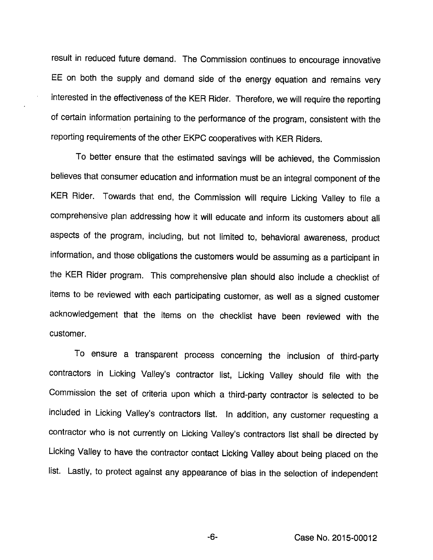result in reduced future demand. The Commission continues to encourage innovative EE on both the supply and demand side of the energy equation and remains very interested in the effectiveness of the KER Rider. Therefore, we will require the reporting of certain information pertaining to the performance of the program, consistent with the reporting requirements of the other EKPC cooperatives with KER Riders.

To better ensure that the estimated savings will be achieved, the Commission believes that consumer education and information must be an integral component of the KER Rider. Towards that end, the Commission will require Licking Valley to file a comprehensive plan addressing how it will educate and inform its customers about all aspects of the program. Including, but not limited to, behavioral awareness, product information, and those obligations the customers would be assuming as a participant in the KER Rider program. This comprehensive plan should also include a checklist of items to be reviewed with each participating customer, as well as a signed customer acknowledgement that the items on the checklist have been reviewed with the customer.

To ensure a transparent process concerning the Inclusion of third-party contractors in Licking Valley's contractor list, Licking Valley should file with the Commission the set of criteria upon which a third-party contractor is selected to be included in Licking Valley's contractors list. In addition, any customer requesting a contractor who is not currently on Licking Valley's contractors list shall be directed by Licking Valley to have the contractor contact Licking Valley about being placed on the list. Lastly, to protect against any appearance of bias in the selection of independent

-6- Case No. 2015-00012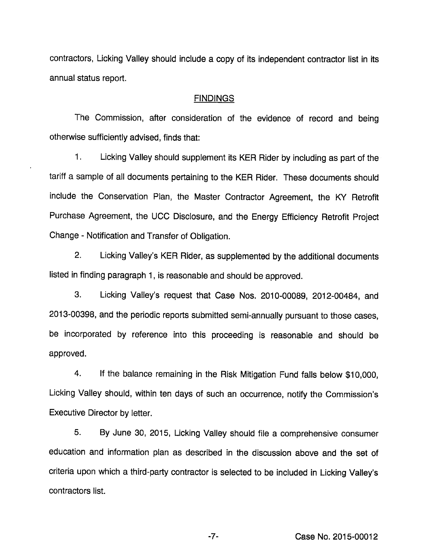contractors, Licking Valley should include a copy of its independent contractor list in its annual status report.

## FINDINGS

The Commission, after consideration of the evidence of record and being otherwise sufficiently advised, finds that:

1. Licking Valley should supplement its KER Rider by including as part of the tariff a sample of all documents pertaining to the KER Rider. These documents should include the Conservation Plan, the Master Contractor Agreement, the KY Retrofit Purchase Agreement, the UCC Disclosure, and the Energy Efficiency Retrofit Project Change - Notification and Transfer of Obligation.

2. Licking Valley's KER Rider, as supplemented by the additional documents listed in finding paragraph 1, is reasonable and should be approved.

3. Licking Valley's request that Case Nos. 2010-00089, 2012-00484, and 2013-00398, and the periodic reports submitted semi-annually pursuant to those cases, be incorporated by reference into this proceeding is reasonable and should be approved.

4. If the balance remaining in the Risk Mitigation Fund falls below \$10,000, Licking Valley should, within ten days of such an occurrence, notify the Commission's Executive Director by letter.

5. By June 30, 2015, Licking Valley should file a comprehensive consumer education and information plan as described in the discussion above and the set of criteria upon which a third-party contractor is selected to be included in Licking Valley's contractors list.

-7- Case No. 2015-00012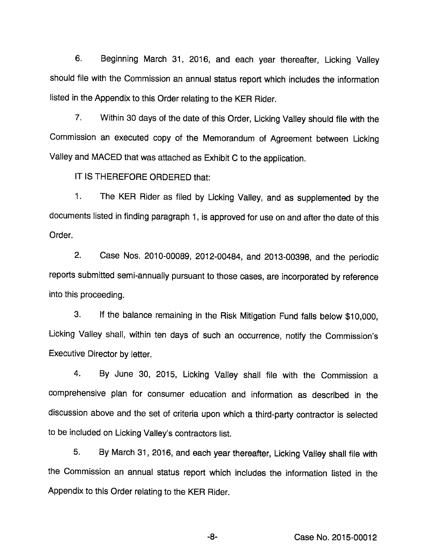6. Beginning March 31, 2016, and each year thereafter. Licking Valley should file with the Commission an annual status report which includes the information listed in the Appendix to this Order relating to the KER Rider.

7. Within 30 days of the date of this Order, Licking Valley should file with the Commission an executed copy of the Memorandum of Agreement between Licking Valley and MACED that was attached as Exhibit C to the appiication.

IT IS THEREFORE ORDERED that:

1. The KER Rider as filed by Licking Vailey, and as supplemented by the documents listed in finding paragraph 1, is approved for use on and after the date of this Order.

2. Case Nos. 2010-00089, 2012-00484, and 2013-00398, and the periodic reports submitted semi-annually pursuant to those cases, are incorporated by reference into this proceeding.

3. If the balance remaining in the Risk Mitigation Fund falls below \$10,000, Licking Valiey shall, within ten days of such an occurrence, notify the Commission's Executive Director by letter.

4. By June 30, 2015, Licking Valley shall file with the Commission a comprehensive plan for consumer education and information as described in the discussion above and the set of criteria upon which a third-party contractor is selected to be included on Licking Valley's contractors list.

5. By March 31, 2016, and each year thereafter. Licking Valley shall file with the Commission an annual status report which includes the information listed in the Appendix to this Order relating to the KER Rider.

-8- Case No. 2015-00012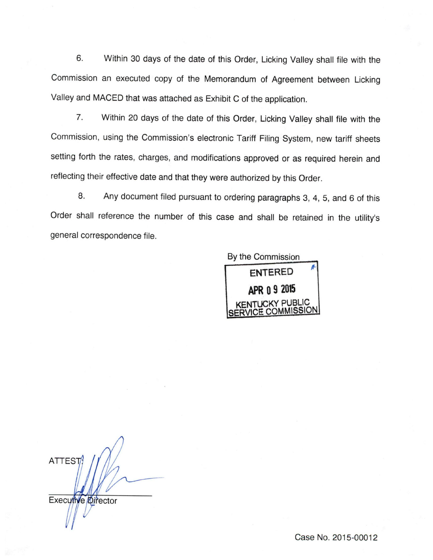6. Within 30 days of the date of this Order, Licking Valley shall file with the Commission an executed copy of the Memorandum of Agreement between Licking Valley and MACED that was attached as Exhibit C of the application.

7. Within 20 days of the date of this Order, Licking Valley shall file with the Commission, using the Commission's electronic Tariff Filing System, new tariff sheets setting forth the rates, charges, and modifications approved or as required herein and reflecting their effective date and that they were authorized by this Order.

8. Any document filed pursuant to ordering paragraphs 3, 4, 5, and 6 of this Order shall reference the number of this case and shall be retained in the utility's general correspondence file.



**ATTEST** Executive Director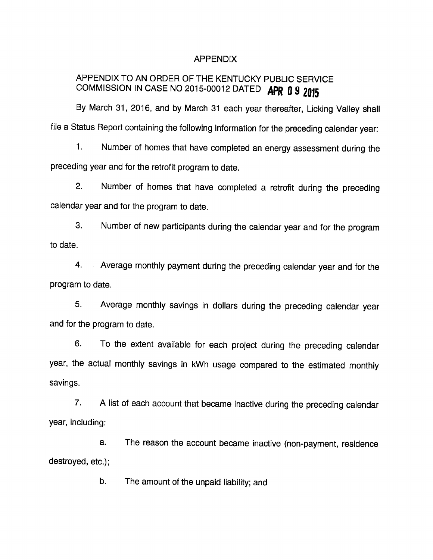## APPENDIX

# APPENDIX TO AN ORDER OF THE KENTUCKY PUBLIC SERVICE COMMISSION IN CASE NO 2015-00012 DATED APR 0 9 2015

By March 31, 2016, and by March 31 each year thereafter. Licking Valley shall file a Status Report containing the following information for the preceding calendar year:

1. Number of homes that have completed an energy assessment during the preceding year and for the retrofit program to date.

2. Number of homes that have completed a retrofit during the preceding calendar year and for the program to date.

3. Number of new participants during the calendar year and for the program to date.

4. Average monthly payment during the preceding calendar year and for the program to date.

5. Average monthly savings in dollars during the preceding calendar year and for the program to date.

6. To the extent available for each project during the preceding calendar year, the actual monthly savings in kWh usage compared to the estimated monthly savings.

7. A list of each account that became inactive during the preceding calendar year, including:

a. The reason the account became inactive (non-payment, residence destroyed, etc.);

b. The amount of the unpaid liability; and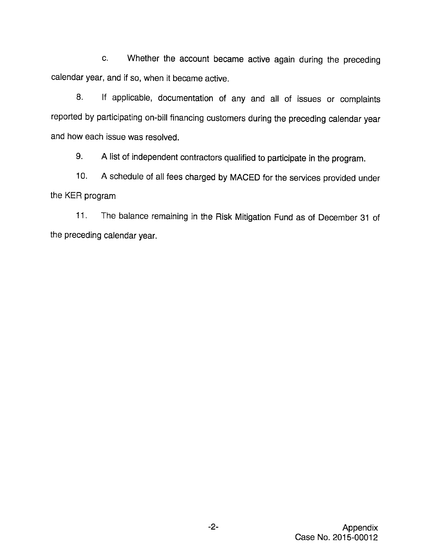c. Whether the account became active again during the preceding calendar year, and if so, when it became active.

8. If applicable, documentation of any and all of issues or complaints reported by participating on-bill financing customers during the preceding calendar year and how each issue was resolved.

9. Alist of independent contractors qualified to participate in the program.

10. Aschedule of all fees charged by MACED for the services provided under the KER program

11. The balance remaining in the Risk Mitigation Fund as of December 31 of the preceding calendar year.

 $-2-$